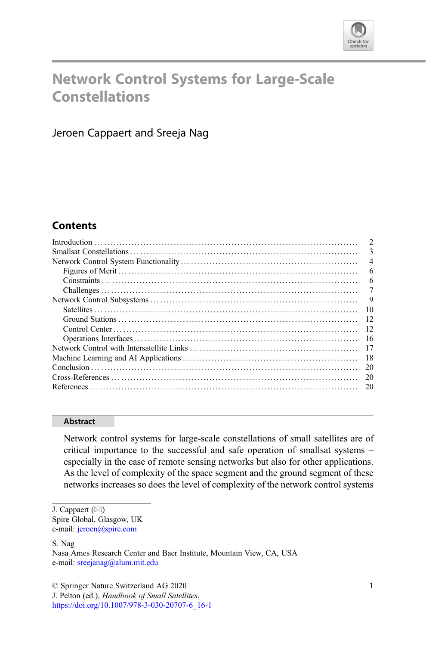

# Network Control Systems for Large-Scale **Constellations**

Jeroen Cappaert and Sreeja Nag

# **Contents**

| $\overline{2}$          |
|-------------------------|
| $\overline{\mathbf{3}}$ |
| $\overline{4}$          |
| 6                       |
| -6                      |
| 7                       |
| 9                       |
| 10                      |
| -12                     |
| 12                      |
| 16                      |
| 17                      |
| -18                     |
| 20                      |
| 20                      |
| 20                      |
|                         |

#### Abstract

Network control systems for large-scale constellations of small satellites are of critical importance to the successful and safe operation of smallsat systems – especially in the case of remote sensing networks but also for other applications. As the level of complexity of the space segment and the ground segment of these networks increases so does the level of complexity of the network control systems

e-mail: [jeroen@spire.com](mailto:jeroen@spire.com)

S. Nag

© Springer Nature Switzerland AG 2020

J. Pelton (ed.), Handbook of Small Satellites, [https://doi.org/10.1007/978-3-030-20707-6\\_16-1](https://doi.org/10.1007/978-3-030-20707-6_16-1)

J. Cappaert  $(\boxtimes)$ Spire Global, Glasgow, UK

Nasa Ames Research Center and Baer Institute, Mountain View, CA, USA e-mail: [sreejanag@alum.mit.edu](mailto:sreejanag@alum.mit.edu)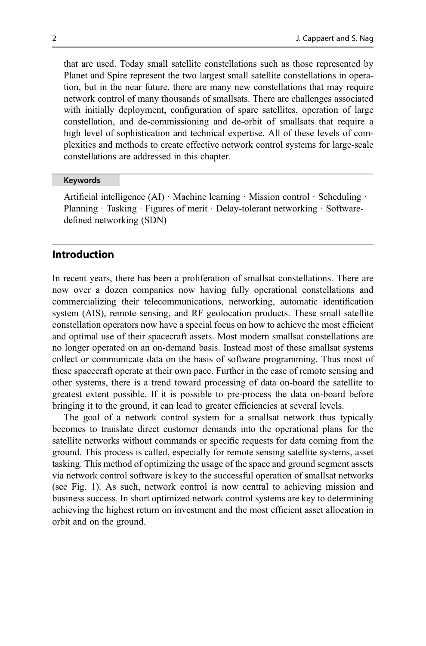that are used. Today small satellite constellations such as those represented by Planet and Spire represent the two largest small satellite constellations in operation, but in the near future, there are many new constellations that may require network control of many thousands of smallsats. There are challenges associated with initially deployment, configuration of spare satellites, operation of large constellation, and de-commissioning and de-orbit of smallsats that require a high level of sophistication and technical expertise. All of these levels of complexities and methods to create effective network control systems for large-scale constellations are addressed in this chapter.

#### Keywords

Artificial intelligence (AI) · Machine learning · Mission control · Scheduling · Planning · Tasking · Figures of merit · Delay-tolerant networking · Softwaredefined networking (SDN)

## Introduction

In recent years, there has been a proliferation of smallsat constellations. There are now over a dozen companies now having fully operational constellations and commercializing their telecommunications, networking, automatic identification system (AIS), remote sensing, and RF geolocation products. These small satellite constellation operators now have a special focus on how to achieve the most efficient and optimal use of their spacecraft assets. Most modern smallsat constellations are no longer operated on an on-demand basis. Instead most of these smallsat systems collect or communicate data on the basis of software programming. Thus most of these spacecraft operate at their own pace. Further in the case of remote sensing and other systems, there is a trend toward processing of data on-board the satellite to greatest extent possible. If it is possible to pre-process the data on-board before bringing it to the ground, it can lead to greater efficiencies at several levels.

The goal of a network control system for a smallsat network thus typically becomes to translate direct customer demands into the operational plans for the satellite networks without commands or specific requests for data coming from the ground. This process is called, especially for remote sensing satellite systems, asset tasking. This method of optimizing the usage of the space and ground segment assets via network control software is key to the successful operation of smallsat networks (see Fig. [1\)](#page-2-0). As such, network control is now central to achieving mission and business success. In short optimized network control systems are key to determining achieving the highest return on investment and the most efficient asset allocation in orbit and on the ground.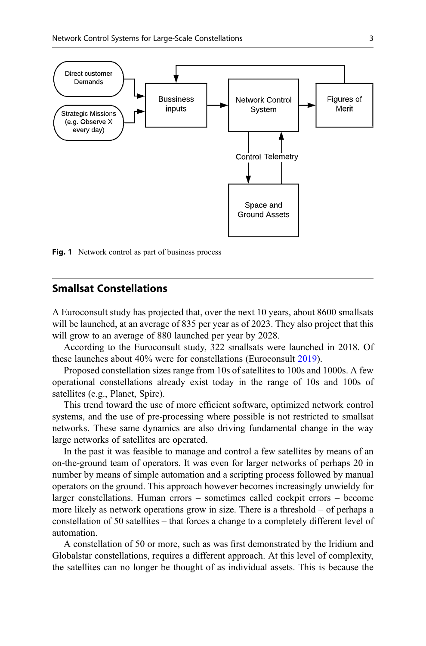<span id="page-2-0"></span>

Fig. 1 Network control as part of business process

## Smallsat Constellations

A Euroconsult study has projected that, over the next 10 years, about 8600 smallsats will be launched, at an average of 835 per year as of 2023. They also project that this will grow to an average of 880 launched per year by 2028.

According to the Euroconsult study, 322 smallsats were launched in 2018. Of these launches about 40% were for constellations (Euroconsult [2019](#page-20-0)).

Proposed constellation sizes range from 10s of satellites to 100s and 1000s. A few operational constellations already exist today in the range of 10s and 100s of satellites (e.g., Planet, Spire).

This trend toward the use of more efficient software, optimized network control systems, and the use of pre-processing where possible is not restricted to smallsat networks. These same dynamics are also driving fundamental change in the way large networks of satellites are operated.

In the past it was feasible to manage and control a few satellites by means of an on-the-ground team of operators. It was even for larger networks of perhaps 20 in number by means of simple automation and a scripting process followed by manual operators on the ground. This approach however becomes increasingly unwieldy for larger constellations. Human errors – sometimes called cockpit errors – become more likely as network operations grow in size. There is a threshold – of perhaps a constellation of 50 satellites – that forces a change to a completely different level of automation.

A constellation of 50 or more, such as was first demonstrated by the Iridium and Globalstar constellations, requires a different approach. At this level of complexity, the satellites can no longer be thought of as individual assets. This is because the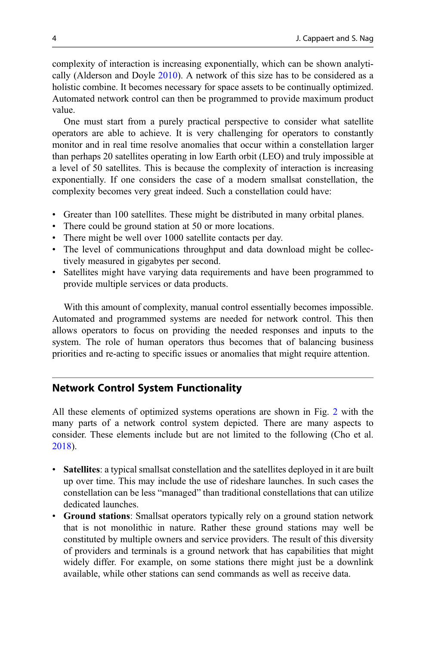complexity of interaction is increasing exponentially, which can be shown analytically (Alderson and Doyle [2010](#page-19-0)). A network of this size has to be considered as a holistic combine. It becomes necessary for space assets to be continually optimized. Automated network control can then be programmed to provide maximum product value.

One must start from a purely practical perspective to consider what satellite operators are able to achieve. It is very challenging for operators to constantly monitor and in real time resolve anomalies that occur within a constellation larger than perhaps 20 satellites operating in low Earth orbit (LEO) and truly impossible at a level of 50 satellites. This is because the complexity of interaction is increasing exponentially. If one considers the case of a modern smallsat constellation, the complexity becomes very great indeed. Such a constellation could have:

- Greater than 100 satellites. These might be distributed in many orbital planes.
- There could be ground station at 50 or more locations.
- There might be well over 1000 satellite contacts per day.
- The level of communications throughput and data download might be collectively measured in gigabytes per second.
- Satellites might have varying data requirements and have been programmed to provide multiple services or data products.

With this amount of complexity, manual control essentially becomes impossible. Automated and programmed systems are needed for network control. This then allows operators to focus on providing the needed responses and inputs to the system. The role of human operators thus becomes that of balancing business priorities and re-acting to specific issues or anomalies that might require attention.

# Network Control System Functionality

All these elements of optimized systems operations are shown in Fig. [2](#page-4-0) with the many parts of a network control system depicted. There are many aspects to consider. These elements include but are not limited to the following (Cho et al. [2018\)](#page-20-0).

- Satellites: a typical smallsat constellation and the satellites deployed in it are built up over time. This may include the use of rideshare launches. In such cases the constellation can be less "managed" than traditional constellations that can utilize dedicated launches.
- Ground stations: Smallsat operators typically rely on a ground station network that is not monolithic in nature. Rather these ground stations may well be constituted by multiple owners and service providers. The result of this diversity of providers and terminals is a ground network that has capabilities that might widely differ. For example, on some stations there might just be a downlink available, while other stations can send commands as well as receive data.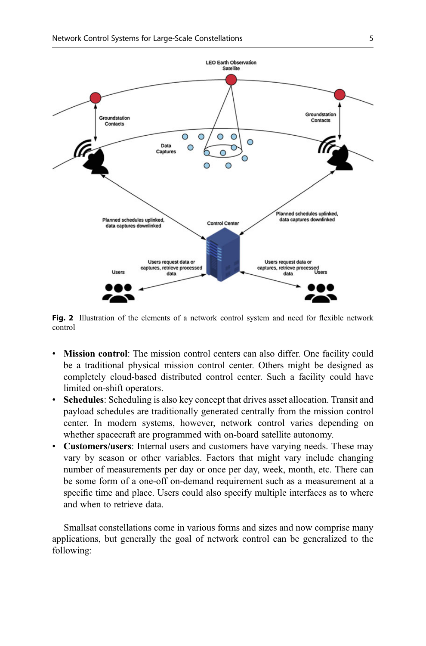<span id="page-4-0"></span>

Fig. 2 Illustration of the elements of a network control system and need for flexible network control

- **Mission control:** The mission control centers can also differ. One facility could be a traditional physical mission control center. Others might be designed as completely cloud-based distributed control center. Such a facility could have limited on-shift operators.
- Schedules: Scheduling is also key concept that drives asset allocation. Transit and payload schedules are traditionally generated centrally from the mission control center. In modern systems, however, network control varies depending on whether spacecraft are programmed with on-board satellite autonomy.
- Customers/users: Internal users and customers have varying needs. These may vary by season or other variables. Factors that might vary include changing number of measurements per day or once per day, week, month, etc. There can be some form of a one-off on-demand requirement such as a measurement at a specific time and place. Users could also specify multiple interfaces as to where and when to retrieve data.

Smallsat constellations come in various forms and sizes and now comprise many applications, but generally the goal of network control can be generalized to the following: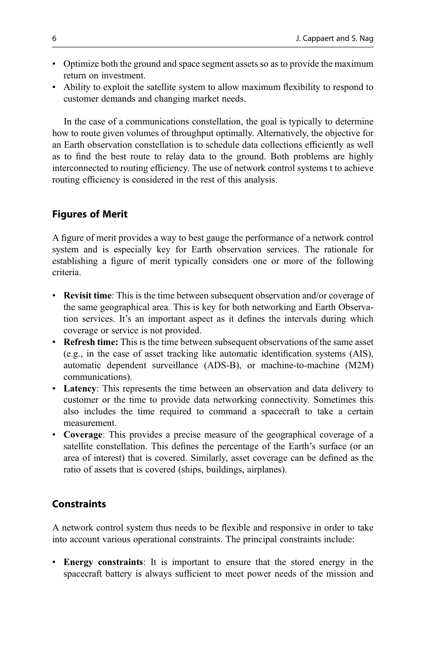- Optimize both the ground and space segment assets so as to provide the maximum return on investment.
- Ability to exploit the satellite system to allow maximum flexibility to respond to customer demands and changing market needs.

In the case of a communications constellation, the goal is typically to determine how to route given volumes of throughput optimally. Alternatively, the objective for an Earth observation constellation is to schedule data collections efficiently as well as to find the best route to relay data to the ground. Both problems are highly interconnected to routing efficiency. The use of network control systems t to achieve routing efficiency is considered in the rest of this analysis.

# Figures of Merit

A figure of merit provides a way to best gauge the performance of a network control system and is especially key for Earth observation services. The rationale for establishing a figure of merit typically considers one or more of the following criteria.

- Revisit time: This is the time between subsequent observation and/or coverage of the same geographical area. This is key for both networking and Earth Observation services. It's an important aspect as it defines the intervals during which coverage or service is not provided.
- Refresh time: This is the time between subsequent observations of the same asset (e.g., in the case of asset tracking like automatic identification systems (AIS), automatic dependent surveillance (ADS-B), or machine-to-machine (M2M) communications).
- Latency: This represents the time between an observation and data delivery to customer or the time to provide data networking connectivity. Sometimes this also includes the time required to command a spacecraft to take a certain measurement.
- Coverage: This provides a precise measure of the geographical coverage of a satellite constellation. This defines the percentage of the Earth's surface (or an area of interest) that is covered. Similarly, asset coverage can be defined as the ratio of assets that is covered (ships, buildings, airplanes).

# **Constraints**

A network control system thus needs to be flexible and responsive in order to take into account various operational constraints. The principal constraints include:

• Energy constraints: It is important to ensure that the stored energy in the spacecraft battery is always sufficient to meet power needs of the mission and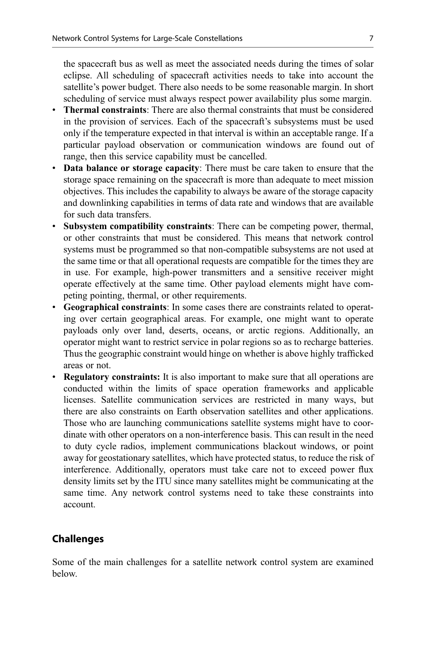the spacecraft bus as well as meet the associated needs during the times of solar eclipse. All scheduling of spacecraft activities needs to take into account the satellite's power budget. There also needs to be some reasonable margin. In short scheduling of service must always respect power availability plus some margin.

- Thermal constraints: There are also thermal constraints that must be considered in the provision of services. Each of the spacecraft's subsystems must be used only if the temperature expected in that interval is within an acceptable range. If a particular payload observation or communication windows are found out of range, then this service capability must be cancelled.
- Data balance or storage capacity: There must be care taken to ensure that the storage space remaining on the spacecraft is more than adequate to meet mission objectives. This includes the capability to always be aware of the storage capacity and downlinking capabilities in terms of data rate and windows that are available for such data transfers.
- Subsystem compatibility constraints: There can be competing power, thermal, or other constraints that must be considered. This means that network control systems must be programmed so that non-compatible subsystems are not used at the same time or that all operational requests are compatible for the times they are in use. For example, high-power transmitters and a sensitive receiver might operate effectively at the same time. Other payload elements might have competing pointing, thermal, or other requirements.
- Geographical constraints: In some cases there are constraints related to operating over certain geographical areas. For example, one might want to operate payloads only over land, deserts, oceans, or arctic regions. Additionally, an operator might want to restrict service in polar regions so as to recharge batteries. Thus the geographic constraint would hinge on whether is above highly trafficked areas or not.
- Regulatory constraints: It is also important to make sure that all operations are conducted within the limits of space operation frameworks and applicable licenses. Satellite communication services are restricted in many ways, but there are also constraints on Earth observation satellites and other applications. Those who are launching communications satellite systems might have to coordinate with other operators on a non-interference basis. This can result in the need to duty cycle radios, implement communications blackout windows, or point away for geostationary satellites, which have protected status, to reduce the risk of interference. Additionally, operators must take care not to exceed power flux density limits set by the ITU since many satellites might be communicating at the same time. Any network control systems need to take these constraints into account.

## Challenges

Some of the main challenges for a satellite network control system are examined below.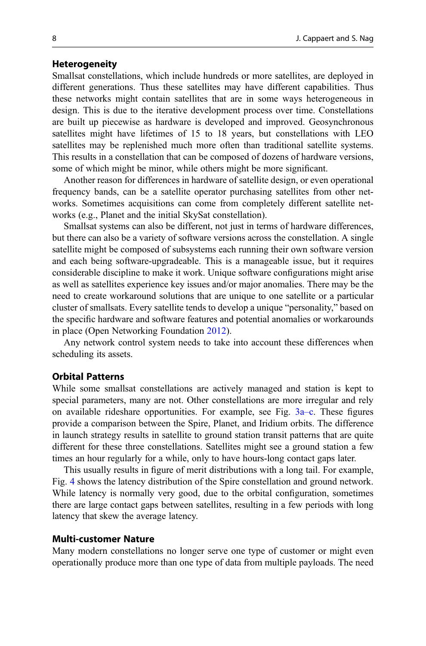#### Heterogeneity

Smallsat constellations, which include hundreds or more satellites, are deployed in different generations. Thus these satellites may have different capabilities. Thus these networks might contain satellites that are in some ways heterogeneous in design. This is due to the iterative development process over time. Constellations are built up piecewise as hardware is developed and improved. Geosynchronous satellites might have lifetimes of 15 to 18 years, but constellations with LEO satellites may be replenished much more often than traditional satellite systems. This results in a constellation that can be composed of dozens of hardware versions, some of which might be minor, while others might be more significant.

Another reason for differences in hardware of satellite design, or even operational frequency bands, can be a satellite operator purchasing satellites from other networks. Sometimes acquisitions can come from completely different satellite networks (e.g., Planet and the initial SkySat constellation).

Smallsat systems can also be different, not just in terms of hardware differences, but there can also be a variety of software versions across the constellation. A single satellite might be composed of subsystems each running their own software version and each being software-upgradeable. This is a manageable issue, but it requires considerable discipline to make it work. Unique software configurations might arise as well as satellites experience key issues and/or major anomalies. There may be the need to create workaround solutions that are unique to one satellite or a particular cluster of smallsats. Every satellite tends to develop a unique "personality," based on the specific hardware and software features and potential anomalies or workarounds in place (Open Networking Foundation [2012\)](#page-20-0).

Any network control system needs to take into account these differences when scheduling its assets.

#### Orbital Patterns

While some smallsat constellations are actively managed and station is kept to special parameters, many are not. Other constellations are more irregular and rely on available rideshare opportunities. For example, see Fig.  $3a-c$  $3a-c$ . These figures provide a comparison between the Spire, Planet, and Iridium orbits. The difference in launch strategy results in satellite to ground station transit patterns that are quite different for these three constellations. Satellites might see a ground station a few times an hour regularly for a while, only to have hours-long contact gaps later.

This usually results in figure of merit distributions with a long tail. For example, Fig. [4](#page-8-0) shows the latency distribution of the Spire constellation and ground network. While latency is normally very good, due to the orbital configuration, sometimes there are large contact gaps between satellites, resulting in a few periods with long latency that skew the average latency.

#### Multi-customer Nature

Many modern constellations no longer serve one type of customer or might even operationally produce more than one type of data from multiple payloads. The need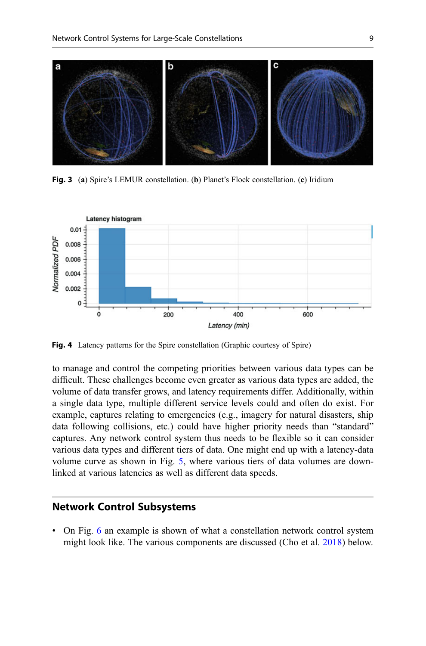<span id="page-8-0"></span>

Fig. 3 (a) Spire's LEMUR constellation. (b) Planet's Flock constellation. (c) Iridium



Fig. 4 Latency patterns for the Spire constellation (Graphic courtesy of Spire)

to manage and control the competing priorities between various data types can be difficult. These challenges become even greater as various data types are added, the volume of data transfer grows, and latency requirements differ. Additionally, within a single data type, multiple different service levels could and often do exist. For example, captures relating to emergencies (e.g., imagery for natural disasters, ship data following collisions, etc.) could have higher priority needs than "standard" captures. Any network control system thus needs to be flexible so it can consider various data types and different tiers of data. One might end up with a latency-data volume curve as shown in Fig. [5](#page-9-0), where various tiers of data volumes are downlinked at various latencies as well as different data speeds.

## Network Control Subsystems

• On Fig. [6](#page-10-0) an example is shown of what a constellation network control system might look like. The various components are discussed (Cho et al. [2018](#page-20-0)) below.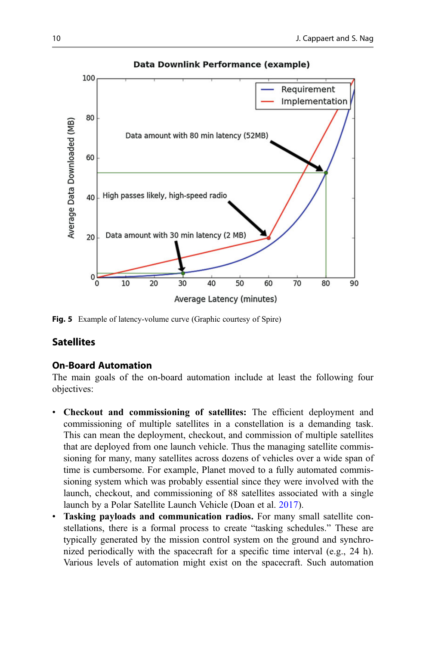<span id="page-9-0"></span>

Fig. 5 Example of latency-volume curve (Graphic courtesy of Spire)

## **Satellites**

## On-Board Automation

The main goals of the on-board automation include at least the following four objectives:

- Checkout and commissioning of satellites: The efficient deployment and commissioning of multiple satellites in a constellation is a demanding task. This can mean the deployment, checkout, and commission of multiple satellites that are deployed from one launch vehicle. Thus the managing satellite commissioning for many, many satellites across dozens of vehicles over a wide span of time is cumbersome. For example, Planet moved to a fully automated commissioning system which was probably essential since they were involved with the launch, checkout, and commissioning of 88 satellites associated with a single launch by a Polar Satellite Launch Vehicle (Doan et al. [2017\)](#page-20-0).
- Tasking payloads and communication radios. For many small satellite constellations, there is a formal process to create "tasking schedules." These are typically generated by the mission control system on the ground and synchronized periodically with the spacecraft for a specific time interval (e.g., 24 h). Various levels of automation might exist on the spacecraft. Such automation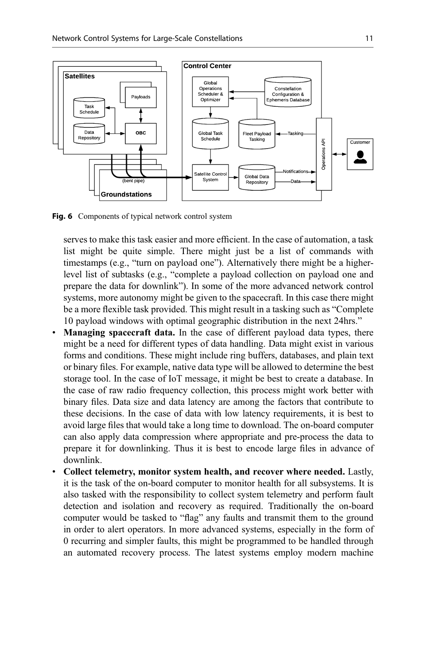<span id="page-10-0"></span>

Fig. 6 Components of typical network control system

serves to make this task easier and more efficient. In the case of automation, a task list might be quite simple. There might just be a list of commands with timestamps (e.g., "turn on payload one"). Alternatively there might be a higherlevel list of subtasks (e.g., "complete a payload collection on payload one and prepare the data for downlink"). In some of the more advanced network control systems, more autonomy might be given to the spacecraft. In this case there might be a more flexible task provided. This might result in a tasking such as "Complete 10 payload windows with optimal geographic distribution in the next 24hrs."

- Managing spacecraft data. In the case of different payload data types, there might be a need for different types of data handling. Data might exist in various forms and conditions. These might include ring buffers, databases, and plain text or binary files. For example, native data type will be allowed to determine the best storage tool. In the case of IoT message, it might be best to create a database. In the case of raw radio frequency collection, this process might work better with binary files. Data size and data latency are among the factors that contribute to these decisions. In the case of data with low latency requirements, it is best to avoid large files that would take a long time to download. The on-board computer can also apply data compression where appropriate and pre-process the data to prepare it for downlinking. Thus it is best to encode large files in advance of downlink.
- Collect telemetry, monitor system health, and recover where needed. Lastly, it is the task of the on-board computer to monitor health for all subsystems. It is also tasked with the responsibility to collect system telemetry and perform fault detection and isolation and recovery as required. Traditionally the on-board computer would be tasked to "flag" any faults and transmit them to the ground in order to alert operators. In more advanced systems, especially in the form of 0 recurring and simpler faults, this might be programmed to be handled through an automated recovery process. The latest systems employ modern machine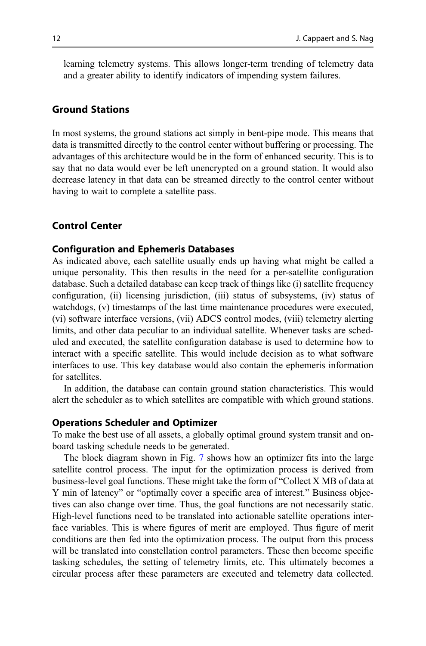learning telemetry systems. This allows longer-term trending of telemetry data and a greater ability to identify indicators of impending system failures.

## Ground Stations

In most systems, the ground stations act simply in bent-pipe mode. This means that data is transmitted directly to the control center without buffering or processing. The advantages of this architecture would be in the form of enhanced security. This is to say that no data would ever be left unencrypted on a ground station. It would also decrease latency in that data can be streamed directly to the control center without having to wait to complete a satellite pass.

## Control Center

#### Configuration and Ephemeris Databases

As indicated above, each satellite usually ends up having what might be called a unique personality. This then results in the need for a per-satellite configuration database. Such a detailed database can keep track of things like (i) satellite frequency configuration, (ii) licensing jurisdiction, (iii) status of subsystems, (iv) status of watchdogs, (v) timestamps of the last time maintenance procedures were executed, (vi) software interface versions, (vii) ADCS control modes, (viii) telemetry alerting limits, and other data peculiar to an individual satellite. Whenever tasks are scheduled and executed, the satellite configuration database is used to determine how to interact with a specific satellite. This would include decision as to what software interfaces to use. This key database would also contain the ephemeris information for satellites.

In addition, the database can contain ground station characteristics. This would alert the scheduler as to which satellites are compatible with which ground stations.

#### Operations Scheduler and Optimizer

To make the best use of all assets, a globally optimal ground system transit and onboard tasking schedule needs to be generated.

The block diagram shown in Fig. [7](#page-12-0) shows how an optimizer fits into the large satellite control process. The input for the optimization process is derived from business-level goal functions. These might take the form of "Collect X MB of data at Y min of latency" or "optimally cover a specific area of interest." Business objectives can also change over time. Thus, the goal functions are not necessarily static. High-level functions need to be translated into actionable satellite operations interface variables. This is where figures of merit are employed. Thus figure of merit conditions are then fed into the optimization process. The output from this process will be translated into constellation control parameters. These then become specific tasking schedules, the setting of telemetry limits, etc. This ultimately becomes a circular process after these parameters are executed and telemetry data collected.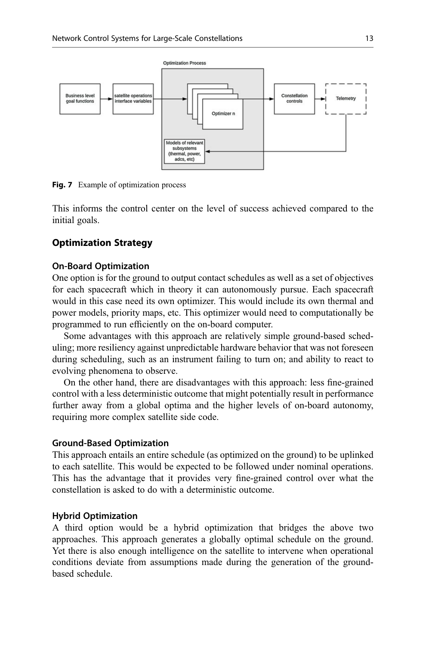<span id="page-12-0"></span>

Fig. 7 Example of optimization process

This informs the control center on the level of success achieved compared to the initial goals.

## Optimization Strategy

#### On-Board Optimization

One option is for the ground to output contact schedules as well as a set of objectives for each spacecraft which in theory it can autonomously pursue. Each spacecraft would in this case need its own optimizer. This would include its own thermal and power models, priority maps, etc. This optimizer would need to computationally be programmed to run efficiently on the on-board computer.

Some advantages with this approach are relatively simple ground-based scheduling; more resiliency against unpredictable hardware behavior that was not foreseen during scheduling, such as an instrument failing to turn on; and ability to react to evolving phenomena to observe.

On the other hand, there are disadvantages with this approach: less fine-grained control with a less deterministic outcome that might potentially result in performance further away from a global optima and the higher levels of on-board autonomy, requiring more complex satellite side code.

#### Ground-Based Optimization

This approach entails an entire schedule (as optimized on the ground) to be uplinked to each satellite. This would be expected to be followed under nominal operations. This has the advantage that it provides very fine-grained control over what the constellation is asked to do with a deterministic outcome.

#### Hybrid Optimization

A third option would be a hybrid optimization that bridges the above two approaches. This approach generates a globally optimal schedule on the ground. Yet there is also enough intelligence on the satellite to intervene when operational conditions deviate from assumptions made during the generation of the groundbased schedule.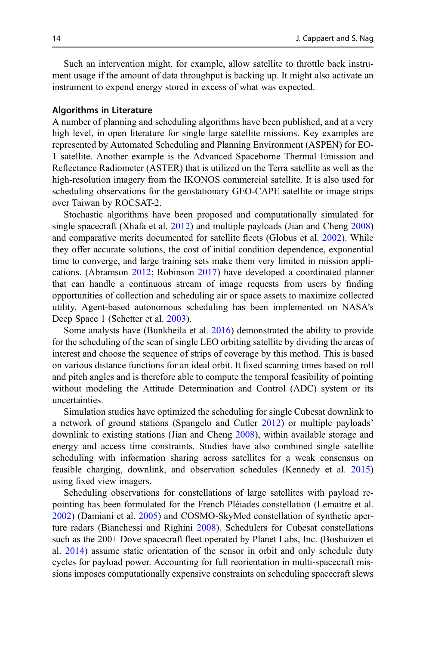Such an intervention might, for example, allow satellite to throttle back instrument usage if the amount of data throughput is backing up. It might also activate an instrument to expend energy stored in excess of what was expected.

#### Algorithms in Literature

A number of planning and scheduling algorithms have been published, and at a very high level, in open literature for single large satellite missions. Key examples are represented by Automated Scheduling and Planning Environment (ASPEN) for EO-1 satellite. Another example is the Advanced Spaceborne Thermal Emission and Reflectance Radiometer (ASTER) that is utilized on the Terra satellite as well as the high-resolution imagery from the IKONOS commercial satellite. It is also used for scheduling observations for the geostationary GEO-CAPE satellite or image strips over Taiwan by ROCSAT-2.

Stochastic algorithms have been proposed and computationally simulated for single spacecraft (Xhafa et al. [2012](#page-21-0)) and multiple payloads (Jian and Cheng [2008](#page-20-0)) and comparative merits documented for satellite fleets (Globus et al. [2002\)](#page-20-0). While they offer accurate solutions, the cost of initial condition dependence, exponential time to converge, and large training sets make them very limited in mission applications. (Abramson [2012](#page-19-0); Robinson [2017](#page-20-0)) have developed a coordinated planner that can handle a continuous stream of image requests from users by finding opportunities of collection and scheduling air or space assets to maximize collected utility. Agent-based autonomous scheduling has been implemented on NASA's Deep Space 1 (Schetter et al. [2003](#page-20-0)).

Some analysts have (Bunkheila et al. [2016](#page-20-0)) demonstrated the ability to provide for the scheduling of the scan of single LEO orbiting satellite by dividing the areas of interest and choose the sequence of strips of coverage by this method. This is based on various distance functions for an ideal orbit. It fixed scanning times based on roll and pitch angles and is therefore able to compute the temporal feasibility of pointing without modeling the Attitude Determination and Control (ADC) system or its uncertainties.

Simulation studies have optimized the scheduling for single Cubesat downlink to a network of ground stations (Spangelo and Cutler [2012](#page-21-0)) or multiple payloads' downlink to existing stations (Jian and Cheng [2008](#page-20-0)), within available storage and energy and access time constraints. Studies have also combined single satellite scheduling with information sharing across satellites for a weak consensus on feasible charging, downlink, and observation schedules (Kennedy et al. [2015](#page-20-0)) using fixed view imagers.

Scheduling observations for constellations of large satellites with payload repointing has been formulated for the French Pléiades constellation (Lemaitre et al. [2002\)](#page-20-0) (Damiani et al. [2005](#page-20-0)) and COSMO-SkyMed constellation of synthetic aperture radars (Bianchessi and Righini [2008](#page-19-0)). Schedulers for Cubesat constellations such as the 200+ Dove spacecraft fleet operated by Planet Labs, Inc. (Boshuizen et al. [2014](#page-19-0)) assume static orientation of the sensor in orbit and only schedule duty cycles for payload power. Accounting for full reorientation in multi-spacecraft missions imposes computationally expensive constraints on scheduling spacecraft slews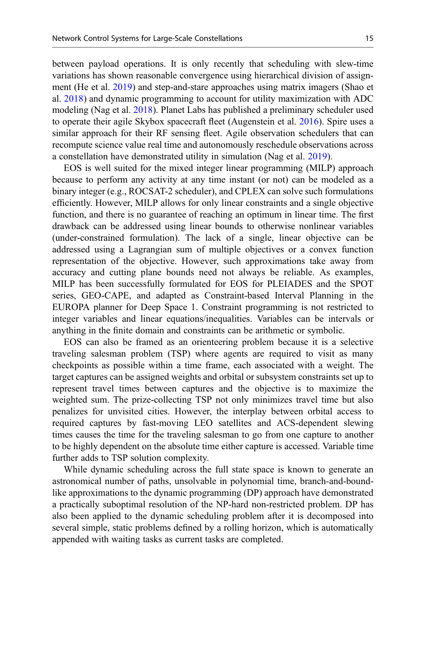between payload operations. It is only recently that scheduling with slew-time variations has shown reasonable convergence using hierarchical division of assignment (He et al. [2019\)](#page-20-0) and step-and-stare approaches using matrix imagers (Shao et al. [2018](#page-21-0)) and dynamic programming to account for utility maximization with ADC modeling (Nag et al. [2018\)](#page-20-0). Planet Labs has published a preliminary scheduler used to operate their agile Skybox spacecraft fleet (Augenstein et al. [2016\)](#page-19-0). Spire uses a similar approach for their RF sensing fleet. Agile observation schedulers that can recompute science value real time and autonomously reschedule observations across a constellation have demonstrated utility in simulation (Nag et al. [2019\)](#page-20-0).

EOS is well suited for the mixed integer linear programming (MILP) approach because to perform any activity at any time instant (or not) can be modeled as a binary integer (e.g., ROCSAT-2 scheduler), and CPLEX can solve such formulations efficiently. However, MILP allows for only linear constraints and a single objective function, and there is no guarantee of reaching an optimum in linear time. The first drawback can be addressed using linear bounds to otherwise nonlinear variables (under-constrained formulation). The lack of a single, linear objective can be addressed using a Lagrangian sum of multiple objectives or a convex function representation of the objective. However, such approximations take away from accuracy and cutting plane bounds need not always be reliable. As examples, MILP has been successfully formulated for EOS for PLEIADES and the SPOT series, GEO-CAPE, and adapted as Constraint-based Interval Planning in the EUROPA planner for Deep Space 1. Constraint programming is not restricted to integer variables and linear equations/inequalities. Variables can be intervals or anything in the finite domain and constraints can be arithmetic or symbolic.

EOS can also be framed as an orienteering problem because it is a selective traveling salesman problem (TSP) where agents are required to visit as many checkpoints as possible within a time frame, each associated with a weight. The target captures can be assigned weights and orbital or subsystem constraints set up to represent travel times between captures and the objective is to maximize the weighted sum. The prize-collecting TSP not only minimizes travel time but also penalizes for unvisited cities. However, the interplay between orbital access to required captures by fast-moving LEO satellites and ACS-dependent slewing times causes the time for the traveling salesman to go from one capture to another to be highly dependent on the absolute time either capture is accessed. Variable time further adds to TSP solution complexity.

While dynamic scheduling across the full state space is known to generate an astronomical number of paths, unsolvable in polynomial time, branch-and-boundlike approximations to the dynamic programming (DP) approach have demonstrated a practically suboptimal resolution of the NP-hard non-restricted problem. DP has also been applied to the dynamic scheduling problem after it is decomposed into several simple, static problems defined by a rolling horizon, which is automatically appended with waiting tasks as current tasks are completed.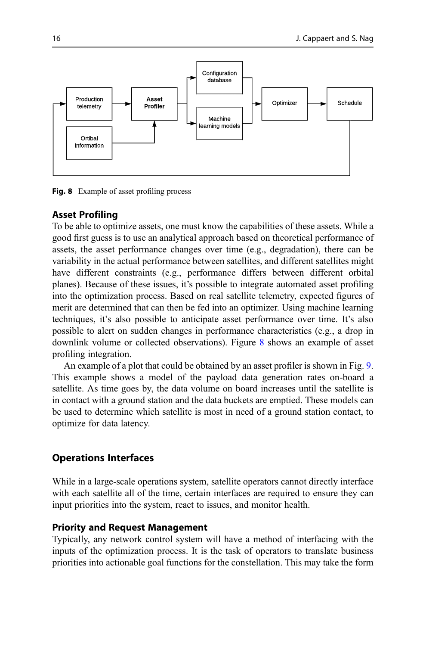

Fig. 8 Example of asset profiling process

## Asset Profiling

To be able to optimize assets, one must know the capabilities of these assets. While a good first guess is to use an analytical approach based on theoretical performance of assets, the asset performance changes over time (e.g., degradation), there can be variability in the actual performance between satellites, and different satellites might have different constraints (e.g., performance differs between different orbital planes). Because of these issues, it's possible to integrate automated asset profiling into the optimization process. Based on real satellite telemetry, expected figures of merit are determined that can then be fed into an optimizer. Using machine learning techniques, it's also possible to anticipate asset performance over time. It's also possible to alert on sudden changes in performance characteristics (e.g., a drop in downlink volume or collected observations). Figure 8 shows an example of asset profiling integration.

An example of a plot that could be obtained by an asset profiler is shown in Fig. [9](#page-16-0). This example shows a model of the payload data generation rates on-board a satellite. As time goes by, the data volume on board increases until the satellite is in contact with a ground station and the data buckets are emptied. These models can be used to determine which satellite is most in need of a ground station contact, to optimize for data latency.

## Operations Interfaces

While in a large-scale operations system, satellite operators cannot directly interface with each satellite all of the time, certain interfaces are required to ensure they can input priorities into the system, react to issues, and monitor health.

#### Priority and Request Management

Typically, any network control system will have a method of interfacing with the inputs of the optimization process. It is the task of operators to translate business priorities into actionable goal functions for the constellation. This may take the form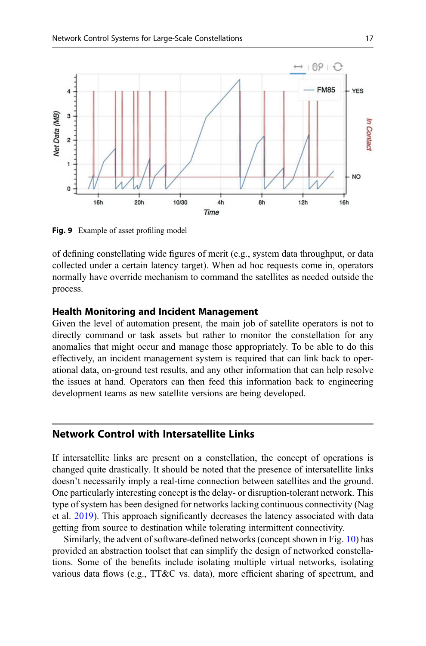<span id="page-16-0"></span>

Fig. 9 Example of asset profiling model

of defining constellating wide figures of merit (e.g., system data throughput, or data collected under a certain latency target). When ad hoc requests come in, operators normally have override mechanism to command the satellites as needed outside the process.

#### Health Monitoring and Incident Management

Given the level of automation present, the main job of satellite operators is not to directly command or task assets but rather to monitor the constellation for any anomalies that might occur and manage those appropriately. To be able to do this effectively, an incident management system is required that can link back to operational data, on-ground test results, and any other information that can help resolve the issues at hand. Operators can then feed this information back to engineering development teams as new satellite versions are being developed.

# Network Control with Intersatellite Links

If intersatellite links are present on a constellation, the concept of operations is changed quite drastically. It should be noted that the presence of intersatellite links doesn't necessarily imply a real-time connection between satellites and the ground. One particularly interesting concept is the delay- or disruption-tolerant network. This type of system has been designed for networks lacking continuous connectivity (Nag et al. [2019\)](#page-20-0). This approach significantly decreases the latency associated with data getting from source to destination while tolerating intermittent connectivity.

Similarly, the advent of software-defined networks (concept shown in Fig. [10](#page-17-0)) has provided an abstraction toolset that can simplify the design of networked constellations. Some of the benefits include isolating multiple virtual networks, isolating various data flows (e.g., TT&C vs. data), more efficient sharing of spectrum, and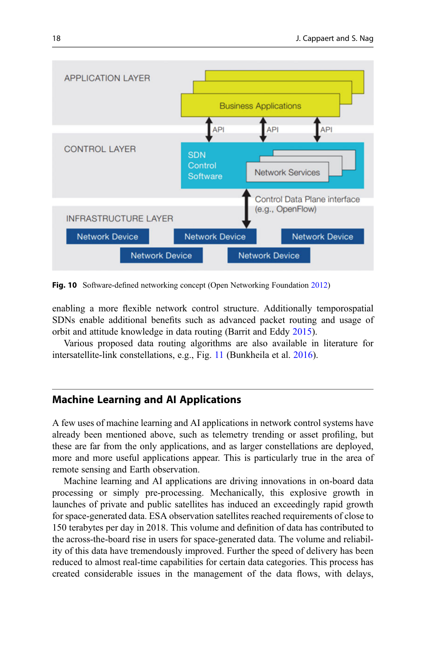<span id="page-17-0"></span>

Fig. 10 Software-defined networking concept (Open Networking Foundation [2012](#page-20-0))

enabling a more flexible network control structure. Additionally temporospatial SDNs enable additional benefits such as advanced packet routing and usage of orbit and attitude knowledge in data routing (Barrit and Eddy [2015\)](#page-19-0).

Various proposed data routing algorithms are also available in literature for intersatellite-link constellations, e.g., Fig. [11](#page-18-0) (Bunkheila et al. [2016\)](#page-20-0).

## Machine Learning and AI Applications

A few uses of machine learning and AI applications in network control systems have already been mentioned above, such as telemetry trending or asset profiling, but these are far from the only applications, and as larger constellations are deployed, more and more useful applications appear. This is particularly true in the area of remote sensing and Earth observation.

Machine learning and AI applications are driving innovations in on-board data processing or simply pre-processing. Mechanically, this explosive growth in launches of private and public satellites has induced an exceedingly rapid growth for space-generated data. ESA observation satellites reached requirements of close to 150 terabytes per day in 2018. This volume and definition of data has contributed to the across-the-board rise in users for space-generated data. The volume and reliability of this data have tremendously improved. Further the speed of delivery has been reduced to almost real-time capabilities for certain data categories. This process has created considerable issues in the management of the data flows, with delays,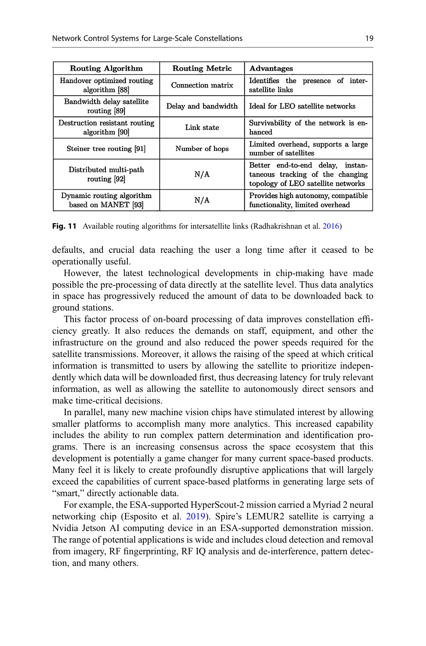<span id="page-18-0"></span>

| Routing Algorithm                                | <b>Routing Metric</b> | <b>Advantages</b>                                                                                             |
|--------------------------------------------------|-----------------------|---------------------------------------------------------------------------------------------------------------|
| Handover optimized routing<br>algorithm [88]     | Connection matrix     | Identifies the presence of inter-<br>satellite links                                                          |
| Bandwidth delay satellite<br>routing [89]        | Delay and bandwidth   | Ideal for LEO satellite networks                                                                              |
| Destruction resistant routing<br>algorithm [90]  | Link state            | Survivability of the network is en-<br>hanced                                                                 |
| Steiner tree routing [91]                        | Number of hops        | Limited overhead, supports a large<br>number of satellites                                                    |
| Distributed multi-path<br>routing [92]           | N/A                   | Better end-to-end delay,<br>instan-<br>taneous tracking of the changing<br>topology of LEO satellite networks |
| Dynamic routing algorithm<br>based on MANET [93] | N/A                   | Provides high autonomy, compatible<br>functionality, limited overhead                                         |

Fig. 11 Available routing algorithms for intersatellite links (Radhakrishnan et al. [2016](#page-20-0))

defaults, and crucial data reaching the user a long time after it ceased to be operationally useful.

However, the latest technological developments in chip-making have made possible the pre-processing of data directly at the satellite level. Thus data analytics in space has progressively reduced the amount of data to be downloaded back to ground stations.

This factor process of on-board processing of data improves constellation efficiency greatly. It also reduces the demands on staff, equipment, and other the infrastructure on the ground and also reduced the power speeds required for the satellite transmissions. Moreover, it allows the raising of the speed at which critical information is transmitted to users by allowing the satellite to prioritize independently which data will be downloaded first, thus decreasing latency for truly relevant information, as well as allowing the satellite to autonomously direct sensors and make time-critical decisions.

In parallel, many new machine vision chips have stimulated interest by allowing smaller platforms to accomplish many more analytics. This increased capability includes the ability to run complex pattern determination and identification programs. There is an increasing consensus across the space ecosystem that this development is potentially a game changer for many current space-based products. Many feel it is likely to create profoundly disruptive applications that will largely exceed the capabilities of current space-based platforms in generating large sets of "smart," directly actionable data.

For example, the ESA-supported HyperScout-2 mission carried a Myriad 2 neural networking chip (Esposito et al. [2019](#page-20-0)). Spire's LEMUR2 satellite is carrying a Nvidia Jetson AI computing device in an ESA-supported demonstration mission. The range of potential applications is wide and includes cloud detection and removal from imagery, RF fingerprinting, RF IQ analysis and de-interference, pattern detection, and many others.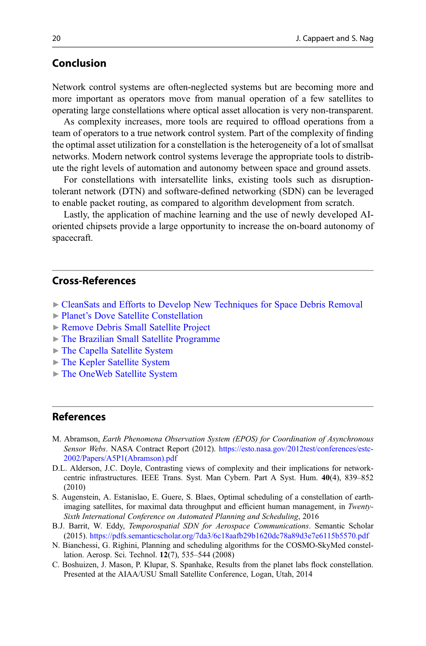# <span id="page-19-0"></span>Conclusion

Network control systems are often-neglected systems but are becoming more and more important as operators move from manual operation of a few satellites to operating large constellations where optical asset allocation is very non-transparent.

As complexity increases, more tools are required to offload operations from a team of operators to a true network control system. Part of the complexity of finding the optimal asset utilization for a constellation is the heterogeneity of a lot of smallsat networks. Modern network control systems leverage the appropriate tools to distribute the right levels of automation and autonomy between space and ground assets.

For constellations with intersatellite links, existing tools such as disruptiontolerant network (DTN) and software-defined networking (SDN) can be leveraged to enable packet routing, as compared to algorithm development from scratch.

Lastly, the application of machine learning and the use of newly developed AIoriented chipsets provide a large opportunity to increase the on-board autonomy of spacecraft.

## Cross-References

- ▶ [CleanSats and Efforts to Develop New Techniques for Space Debris Removal](http://link.springer.com/search?facet-eisbn=978-3-030-20707-6&facet-content-type=ReferenceWorkEntry&query=CleanSats and Efforts to Develop New Techniques for Space Debris Removal)
- ▶ Planet'[s Dove Satellite Constellation](http://link.springer.com/search?facet-eisbn=978-3-030-20707-6&facet-content-type=ReferenceWorkEntry&query=Planet�s Dove Satellite Constellation)
- **[Remove Debris Small Satellite Project](http://link.springer.com/search?facet-eisbn=978-3-030-20707-6&facet-content-type=ReferenceWorkEntry&query=Remove Debris Small Satellite Project)**
- ▶ [The Brazilian Small Satellite Programme](http://link.springer.com/search?facet-eisbn=978-3-030-20707-6&facet-content-type=ReferenceWorkEntry&query=The Brazilian Small Satellite Programme)
- ▶ [The Capella Satellite System](http://link.springer.com/search?facet-eisbn=978-3-030-20707-6&facet-content-type=ReferenceWorkEntry&query=The Capella Satellite System)
- ▶ [The Kepler Satellite System](http://link.springer.com/search?facet-eisbn=978-3-030-20707-6&facet-content-type=ReferenceWorkEntry&query=The Kepler Satellite System)
- ▶ [The OneWeb Satellite System](http://link.springer.com/search?facet-eisbn=978-3-030-20707-6&facet-content-type=ReferenceWorkEntry&query=The OneWeb Satellite System)

## References

- M. Abramson, Earth Phenomena Observation System (EPOS) for Coordination of Asynchronous Sensor Webs. NASA Contract Report (2012). [https://esto.nasa.gov/2012test/conferences/estc-](https://esto.nasa.gov/2012test/conferences/estc-2002/Papers/A5P1(Abramson).pdf)[2002/Papers/A5P1\(Abramson\).pdf](https://esto.nasa.gov/2012test/conferences/estc-2002/Papers/A5P1(Abramson).pdf)
- D.L. Alderson, J.C. Doyle, Contrasting views of complexity and their implications for networkcentric infrastructures. IEEE Trans. Syst. Man Cybern. Part A Syst. Hum. 40(4), 839–852 (2010)
- S. Augenstein, A. Estanislao, E. Guere, S. Blaes, Optimal scheduling of a constellation of earthimaging satellites, for maximal data throughput and efficient human management, in Twenty-Sixth International Conference on Automated Planning and Scheduling, 2016
- B.J. Barrit, W. Eddy, Temporospatial SDN for Aerospace Communications. Semantic Scholar (2015). <https://pdfs.semanticscholar.org/7da3/6c18aafb29b1620dc78a89d3e7e6115b5570.pdf>
- N. Bianchessi, G. Righini, Planning and scheduling algorithms for the COSMO-SkyMed constellation. Aerosp. Sci. Technol. 12(7), 535–544 (2008)
- C. Boshuizen, J. Mason, P. Klupar, S. Spanhake, Results from the planet labs flock constellation. Presented at the AIAA/USU Small Satellite Conference, Logan, Utah, 2014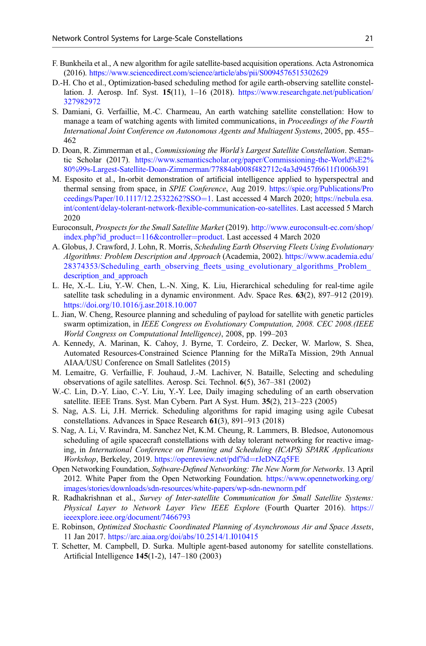- <span id="page-20-0"></span>F. Bunkheila et al., A new algorithm for agile satellite-based acquisition operations. Acta Astronomica (2016). <https://www.sciencedirect.com/science/article/abs/pii/S0094576515302629>
- D.-H. Cho et al., Optimization-based scheduling method for agile earth-observing satellite constellation. J. Aerosp. Inf. Syst. 15(11), 1–16 (2018). [https://www.researchgate.net/publication/](https://www.researchgate.net/publication/327982972) [327982972](https://www.researchgate.net/publication/327982972)
- S. Damiani, G. Verfaillie, M.-C. Charmeau, An earth watching satellite constellation: How to manage a team of watching agents with limited communications, in *Proceedings of the Fourth* International Joint Conference on Autonomous Agents and Multiagent Systems, 2005, pp. 455– 462
- D. Doan, R. Zimmerman et al., *Commissioning the World's Largest Satellite Constellation*. Semantic Scholar (2017). [https://www.semanticscholar.org/paper/Commissioning-the-World%E2%](https://www.semanticscholar.org/paper/Commissioning-the-World%E2%80%99s-Largest-Satellite-Doan-Zimmerman/77884ab008f482712c4a3d9457f6611f1006b391) [80%99s-Largest-Satellite-Doan-Zimmerman/77884ab008f482712c4a3d9457f6611f1006b391](https://www.semanticscholar.org/paper/Commissioning-the-World%E2%80%99s-Largest-Satellite-Doan-Zimmerman/77884ab008f482712c4a3d9457f6611f1006b391)
- M. Esposito et al., In-orbit demonstration of artificial intelligence applied to hyperspectral and thermal sensing from space, in SPIE Conference, Aug 2019. [https://spie.org/Publications/Pro](https://spie.org/Publications/Proceedings/Paper/10.1117/12.2532262?SSO=1) [ceedings/Paper/10.1117/12.2532262?SSO](https://spie.org/Publications/Proceedings/Paper/10.1117/12.2532262?SSO=1)=[1](https://spie.org/Publications/Proceedings/Paper/10.1117/12.2532262?SSO=1). Last accessed 4 March 2020; [https://nebula.esa.](https://nebula.esa.int/content/delay-tolerant-network-flexible-communication-eo-satellites) int/content/delay-tolerant-network-fl[exible-communication-eo-satellites.](https://nebula.esa.int/content/delay-tolerant-network-flexible-communication-eo-satellites) Last accessed 5 March 2020
- Euroconsult, Prospects for the Small Satellite Market (2019). [http://www.euroconsult-ec.com/shop/](http://www.euroconsult-ec.com/shop/index.php?id_product=116&controller=product) [index.php?id\\_product](http://www.euroconsult-ec.com/shop/index.php?id_product=116&controller=product)=[116&controller](http://www.euroconsult-ec.com/shop/index.php?id_product=116&controller=product)=[product.](http://www.euroconsult-ec.com/shop/index.php?id_product=116&controller=product) Last accessed 4 March 2020
- A. Globus, J. Crawford, J. Lohn, R. Morris, Scheduling Earth Observing Fleets Using Evolutionary Algorithms: Problem Description and Approach (Academia, 2002). [https://www.academia.edu/](https://www.academia.edu/28374353/Scheduling_earth_observing_fleets_using_evolutionary_algorithms_Problem_description_and_approach) 28374353/Scheduling\_earth\_observing\_fl[eets\\_using\\_evolutionary\\_algorithms\\_Problem\\_](https://www.academia.edu/28374353/Scheduling_earth_observing_fleets_using_evolutionary_algorithms_Problem_description_and_approach) description and approach
- L. He, X.-L. Liu, Y.-W. Chen, L.-N. Xing, K. Liu, Hierarchical scheduling for real-time agile satellite task scheduling in a dynamic environment. Adv. Space Res. 63(2), 897–912 (2019). <https://doi.org/10.1016/j.asr.2018.10.007>
- L. Jian, W. Cheng, Resource planning and scheduling of payload for satellite with genetic particles swarm optimization, in IEEE Congress on Evolutionary Computation, 2008. CEC 2008. (IEEE World Congress on Computational Intelligence), 2008, pp. 199–203
- A. Kennedy, A. Marinan, K. Cahoy, J. Byrne, T. Cordeiro, Z. Decker, W. Marlow, S. Shea, Automated Resources-Constrained Science Planning for the MiRaTa Mission, 29th Annual AIAA/USU Conference on Small Satlelites (2015)
- M. Lemaitre, G. Verfaillie, F. Jouhaud, J.-M. Lachiver, N. Bataille, Selecting and scheduling observations of agile satellites. Aerosp. Sci. Technol. 6(5), 367–381 (2002)
- W.-C. Lin, D.-Y. Liao, C.-Y. Liu, Y.-Y. Lee, Daily imaging scheduling of an earth observation satellite. IEEE Trans. Syst. Man Cybern. Part A Syst. Hum. 35(2), 213–223 (2005)
- S. Nag, A.S. Li, J.H. Merrick. Scheduling algorithms for rapid imaging using agile Cubesat constellations. Advances in Space Research 61(3), 891–913 (2018)
- S. Nag, A. Li, V. Ravindra, M. Sanchez Net, K.M. Cheung, R. Lammers, B. Bledsoe, Autonomous scheduling of agile spacecraft constellations with delay tolerant networking for reactive imaging, in International Conference on Planning and Scheduling (ICAPS) SPARK Applications Workshop, Berkeley, 2019. [https://openreview.net/pdf?id](https://openreview.net/pdf?id=rJeDNZq5FE)=[rJeDNZq5FE](https://openreview.net/pdf?id=rJeDNZq5FE)
- Open Networking Foundation, Software-Defined Networking: The New Norm for Networks. 13 April 2012. White Paper from the Open Networking Foundation. [https://www.opennetworking.org/](https://www.opennetworking.org/images/stories/downloads/sdn-resources/white-papers/wp-sdn-newnorm.pdf) [images/stories/downloads/sdn-resources/white-papers/wp-sdn-newnorm.pdf](https://www.opennetworking.org/images/stories/downloads/sdn-resources/white-papers/wp-sdn-newnorm.pdf)
- R. Radhakrishnan et al., Survey of Inter-satellite Communication for Small Satellite Systems: Physical Layer to Network Layer View IEEE Explore (Fourth Quarter 2016). [https://](https://ieeexplore.ieee.org/document/7466793) [ieeexplore.ieee.org/document/7466793](https://ieeexplore.ieee.org/document/7466793)
- E. Robinson, Optimized Stochastic Coordinated Planning of Asynchronous Air and Space Assets, 11 Jan 2017. <https://arc.aiaa.org/doi/abs/10.2514/1.I010415>
- T. Schetter, M. Campbell, D. Surka. Multiple agent-based autonomy for satellite constellations. Artificial Intelligence 145(1-2), 147–180 (2003)